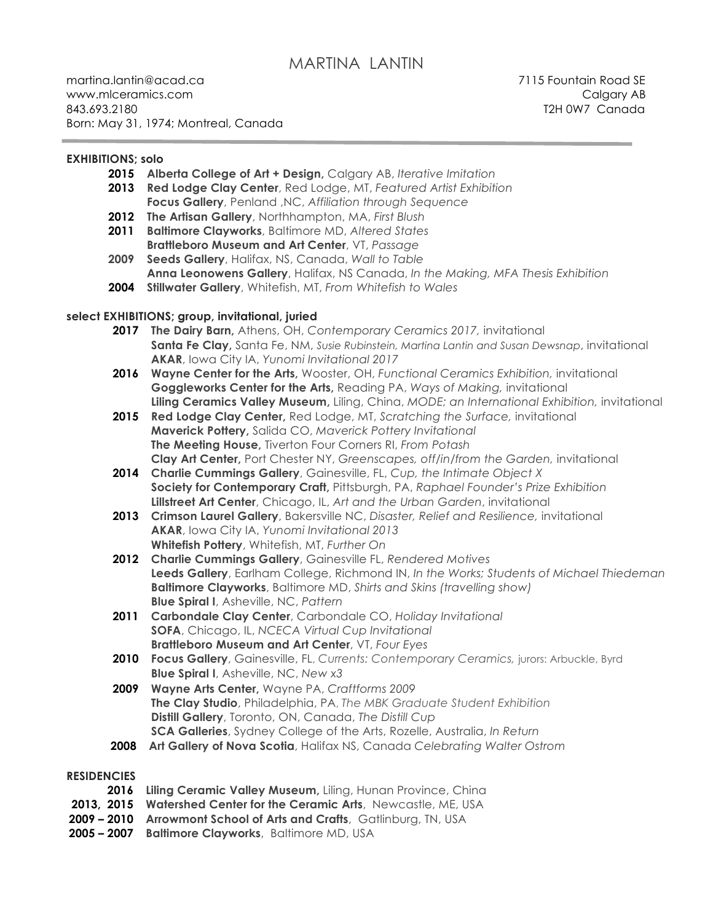# MARTINA LANTIN

martina.lantin@acad.ca7115 Fountain Road SE www.mlceramics.com example and the contract of the contract of the contract of the contract of the contract of the contract of the contract of the contract of the contract of the contract of the contract of the contract of 843.693.2180 T2H 0W7 Canada Born: May 31, 1974; Montreal, Canada

#### **EXHIBITIONS; solo**

- **2015 Alberta College of Art + Design,** Calgary AB, *Iterative Imitation*
- **2013 Red Lodge Clay Center**, Red Lodge, MT, *Featured Artist Exhibition* **Focus Gallery**, Penland ,NC, *Affiliation through Sequence*
- **2012 The Artisan Gallery**, Northhampton, MA, *First Blush*
- **2011 Baltimore Clayworks**, Baltimore MD, *Altered States*  **Brattleboro Museum and Art Center**, VT, *Passage*
- **2009 Seeds Gallery**, Halifax, NS, Canada, *Wall to Table*  **Anna Leonowens Gallery**, Halifax, NS Canada, *In the Making, MFA Thesis Exhibition*
- **2004 Stillwater Gallery**, Whitefish, MT, *From Whitefish to Wales*

#### **select EXHIBITIONS; group, invitational, juried**

- **2017 The Dairy Barn,** Athens, OH, *Contemporary Ceramics 2017,* invitational **Santa Fe Clay,** Santa Fe, NM, *Susie Rubinstein, Martina Lantin and Susan Dewsnap*, invitational **AKAR**, Iowa City IA, *Yunomi Invitational 2017*
- **2016 Wayne Center for the Arts,** Wooster, OH, *Functional Ceramics Exhibition,* invitational **Goggleworks Center for the Arts,** Reading PA, *Ways of Making,* invitational **Liling Ceramics Valley Museum,** Liling, China, *MODE; an International Exhibition,* invitational
- **2015 Red Lodge Clay Center,** Red Lodge, MT, *Scratching the Surface,* invitational **Maverick Pottery,** Salida CO, *Maverick Pottery Invitational* **The Meeting House,** Tiverton Four Corners RI, *From Potash* **Clay Art Center,** Port Chester NY, *Greenscapes, off/in/from the Garden,* invitational
- **2014 Charlie Cummings Gallery**, Gainesville, FL, *Cup, the Intimate Object X* **Society for Contemporary Craft,** Pittsburgh, PA, *Raphael Founder's Prize Exhibition* **Lillstreet Art Center**, Chicago, IL, *Art and the Urban Garden*, invitational
- **2013 Crimson Laurel Gallery**, Bakersville NC, *Disaster, Relief and Resilience,* invitational **AKAR**, Iowa City IA, *Yunomi Invitational 2013* **Whitefish Pottery**, Whitefish, MT, *Further On*
- **2012 Charlie Cummings Gallery**, Gainesville FL, *Rendered Motives* **Leeds Gallery**, Earlham College, Richmond IN, *In the Works; Students of Michael Thiedeman* **Baltimore Clayworks**, Baltimore MD, *Shirts and Skins (travelling show)* **Blue Spiral I**, Asheville, NC, *Pattern*
- **2011 Carbondale Clay Center**, Carbondale CO, *Holiday Invitational* **SOFA**, Chicago, IL, *NCECA Virtual Cup Invitational* **Brattleboro Museum and Art Center**, VT, *Four Eyes*
- **2010 Focus Gallery**, Gainesville, FL, *Currents: Contemporary Ceramics,* jurors: Arbuckle, Byrd **Blue Spiral I**, Asheville, NC, *New x3*
- **2009 Wayne Arts Center,** Wayne PA, *Craftforms 2009* **The Clay Studio**, Philadelphia, PA, *The MBK Graduate Student Exhibition* **Distill Gallery**, Toronto, ON, Canada, *The Distill Cup* **SCA Galleries**, Sydney College of the Arts, Rozelle, Australia, *In Return*
- **2008 Art Gallery of Nova Scotia**, Halifax NS, Canada *Celebrating Walter Ostrom*

#### **RESIDENCIES**

- 2016 Liling Ceramic Valley Museum, Liling, Hunan Province, China
- **2013, 2015 Watershed Center for the Ceramic Arts**, Newcastle, ME, USA
- **2009 – 2010 Arrowmont School of Arts and Crafts**, Gatlinburg, TN, USA
- **2005 – 2007 Baltimore Clayworks**, Baltimore MD, USA